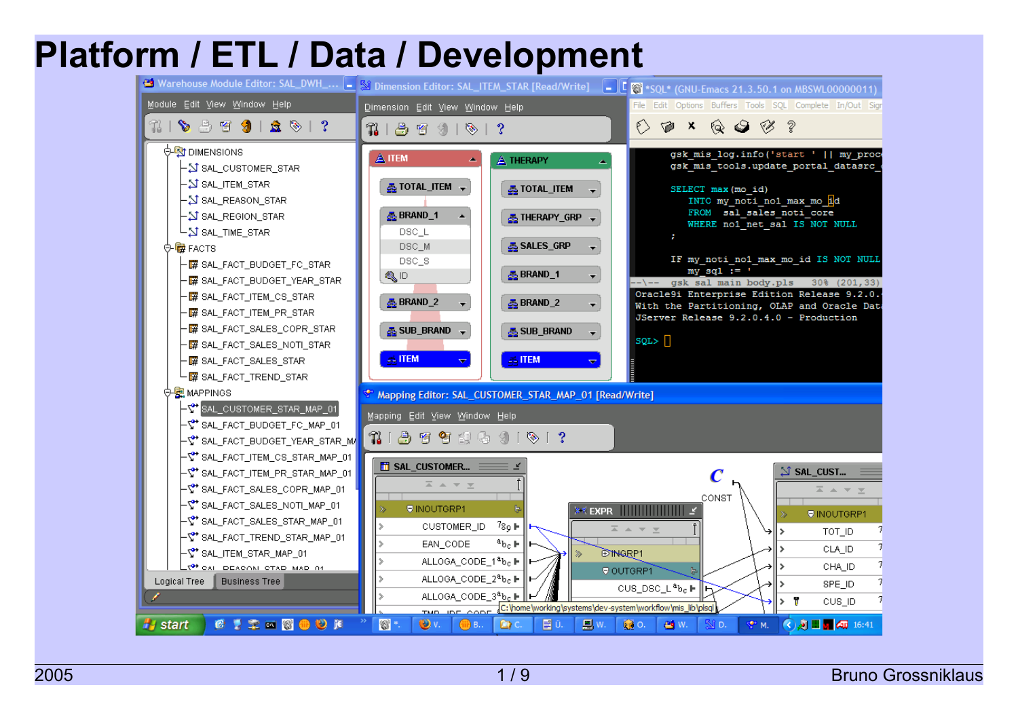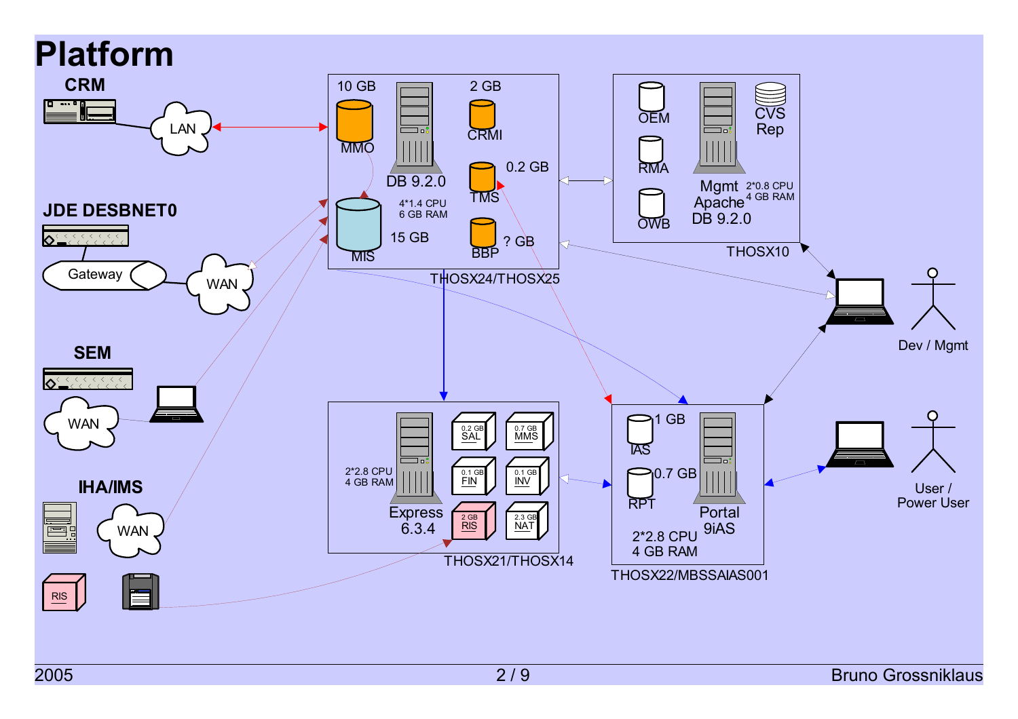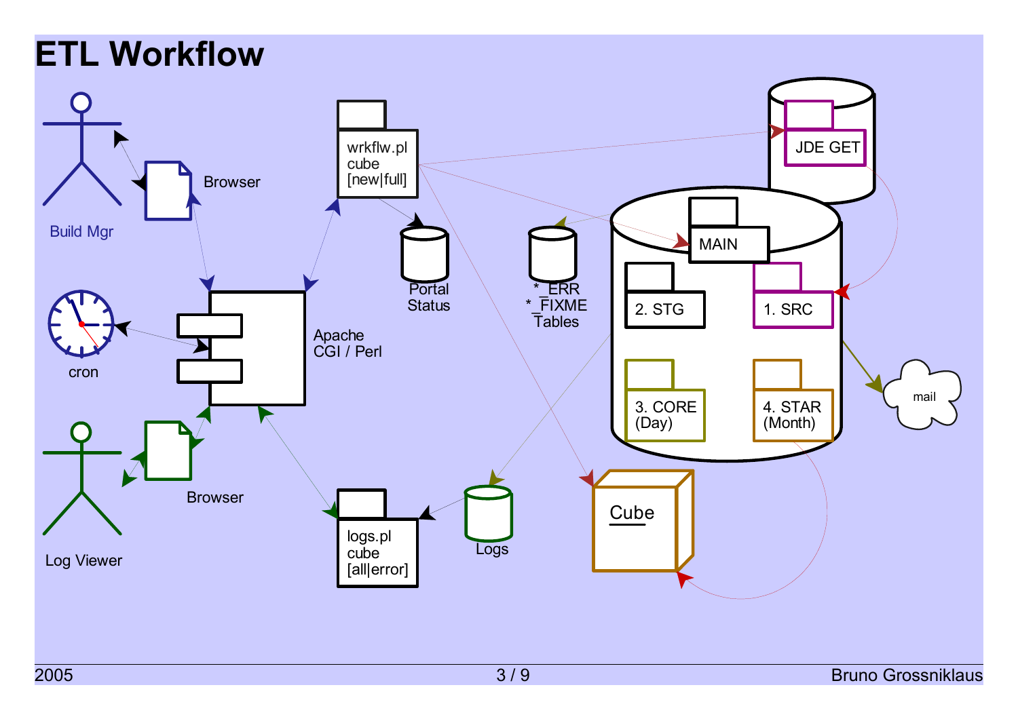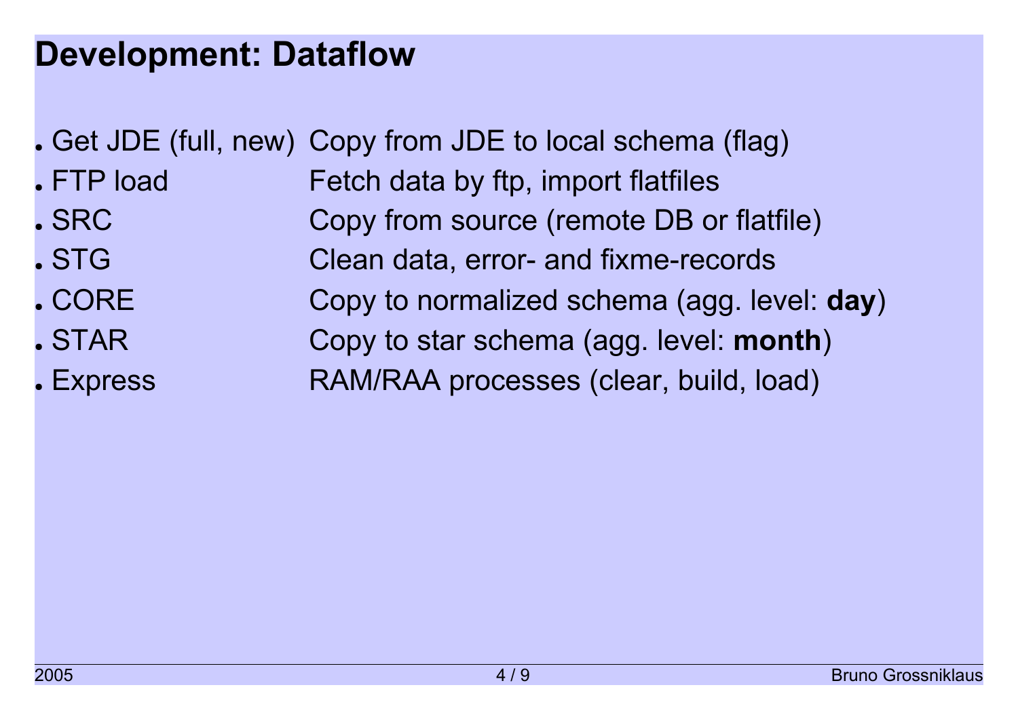## **Development: Dataflow**

- . Get JDE (full, new) Copy from JDE to local schema (flag)
- FTP load Fetch data by ftp, import flatfiles . SRC **Copy from source (remote DB or flatfile)** . STG Clean data, error- and fixme-records
- CORE **Copy to normalized schema (agg. level: day)** • STAR **Copy to star schema (agg. level: month)** • Express **RAM/RAA processes (clear, build, load)**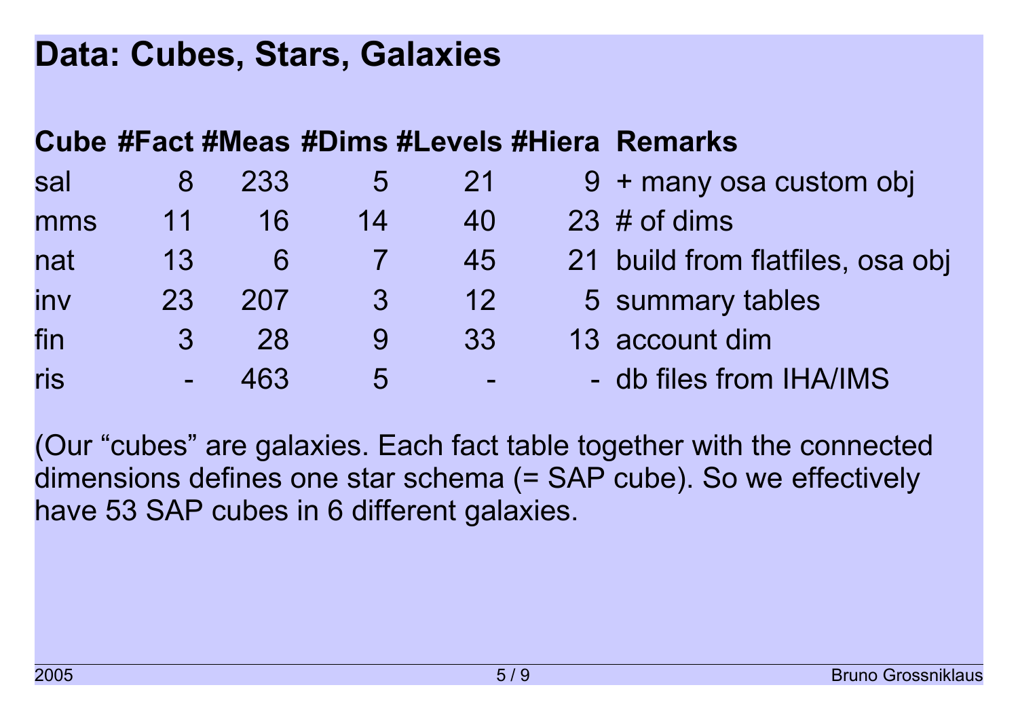### **Data: Cubes, Stars, Galaxies**

#### **Cube #Fact #Meas #Dims #Levels #Hiera Remarks**

| sal |               | 233 | $\mathbf b$ | 21       | 9 + many osa custom obj          |
|-----|---------------|-----|-------------|----------|----------------------------------|
| mms | 11            | 16  | 14          | 40       | $23 \#$ of dims                  |
| nat | 13            | 6   |             | 45       | 21 build from flatfiles, osa obj |
| inv | 23            | 207 | 3           | 12       | 5 summary tables                 |
| fin | $\mathcal{S}$ | 28  |             | 33       | 13 account dim                   |
| ris |               | 463 | 5           | $\equiv$ | - db files from IHA/IMS          |

(Our "cubes" are galaxies. Each fact table together with the connected dimensions defines one star schema (= SAP cube). So we effectively have 53 SAP cubes in 6 different galaxies.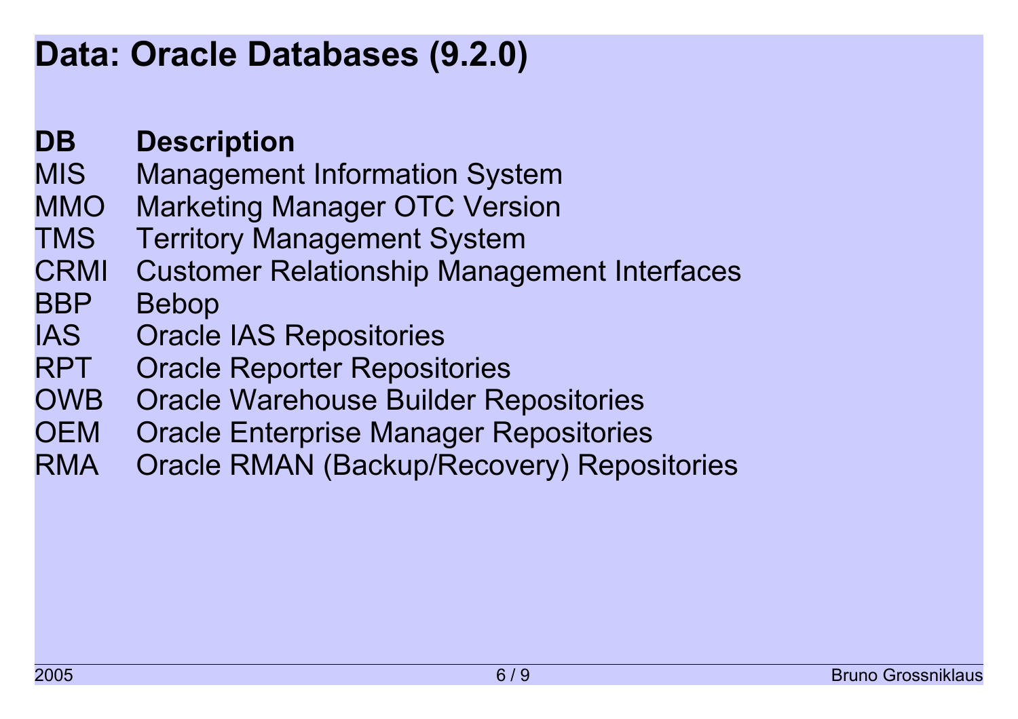## **Data: Oracle Databases (9.2.0)**

#### **DB Description**

- MIS Management Information System
- MMO Marketing Manager OTC Version
- TMS Territory Management System
- CRMI Customer Relationship Management Interfaces

#### BBP Bebop

- IAS Oracle IAS Repositories
- RPT Oracle Reporter Repositories
- OWB Oracle Warehouse Builder Repositories
- OEM Oracle Enterprise Manager Repositories
- RMA Oracle RMAN (Backup/Recovery) Repositories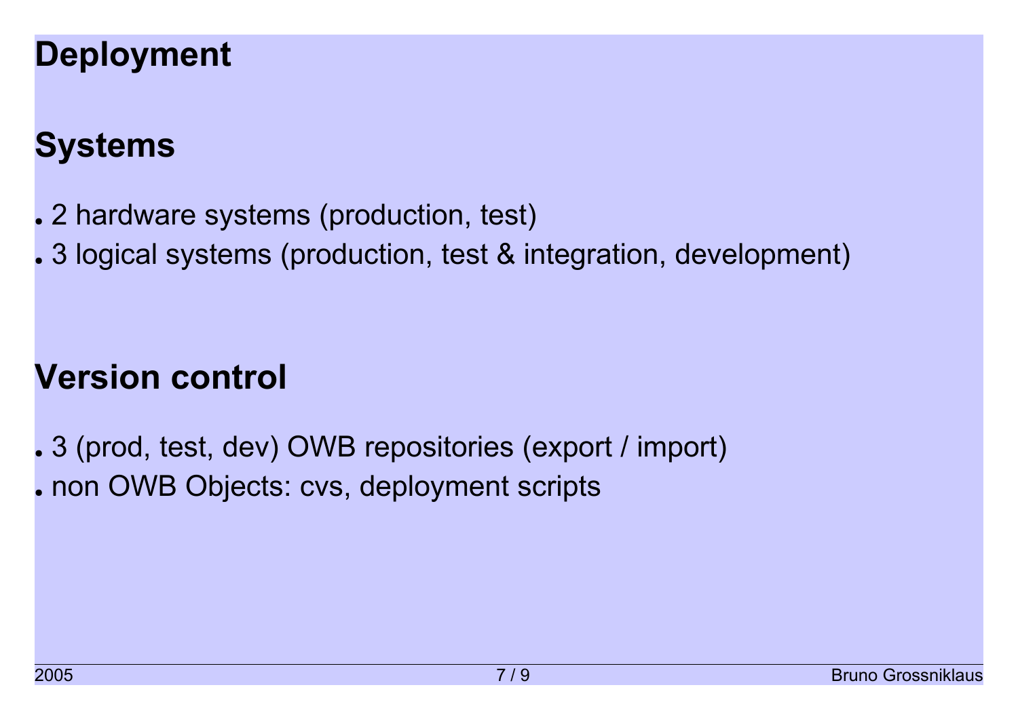# **Deployment**

# **Systems**

- . 2 hardware systems (production, test)
- . 3 logical systems (production, test & integration, development)

## **Version control**

. 3 (prod, test, dev) OWB repositories (export / import) . non OWB Objects: cvs, deployment scripts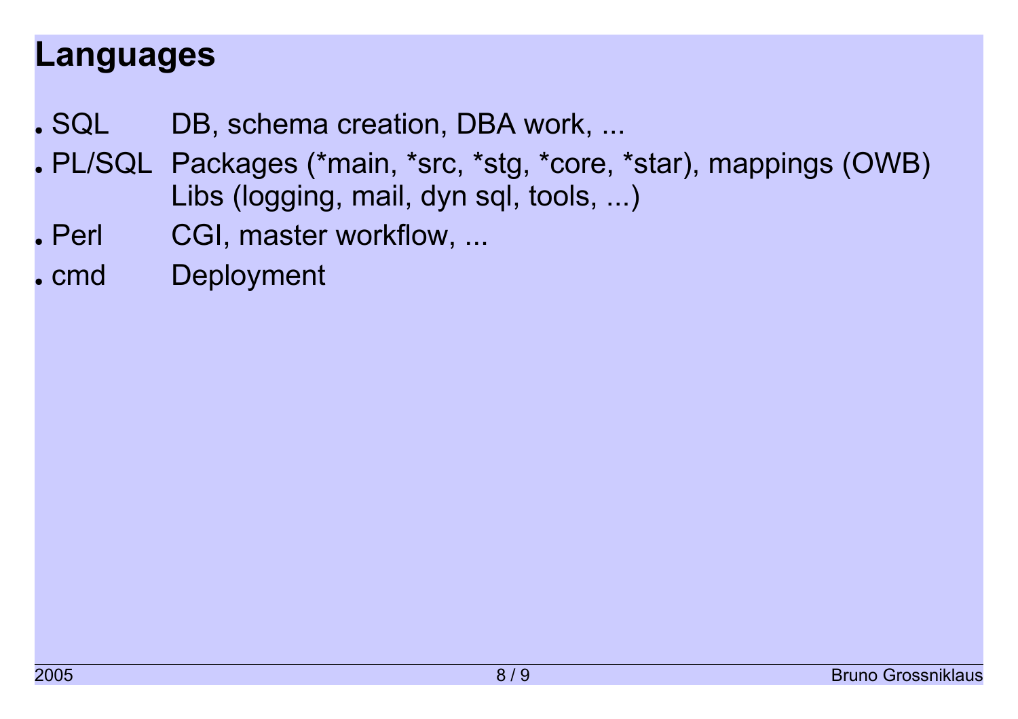### **Languages**

- . SQL DB, schema creation, DBA work, ...
- . PL/SQL Packages (\*main, \*src, \*stg, \*core, \*star), mappings (OWB) Libs (logging, mail, dyn sql, tools, ...)
- . Perl CGI, master workflow, ...
- . cmd Deployment